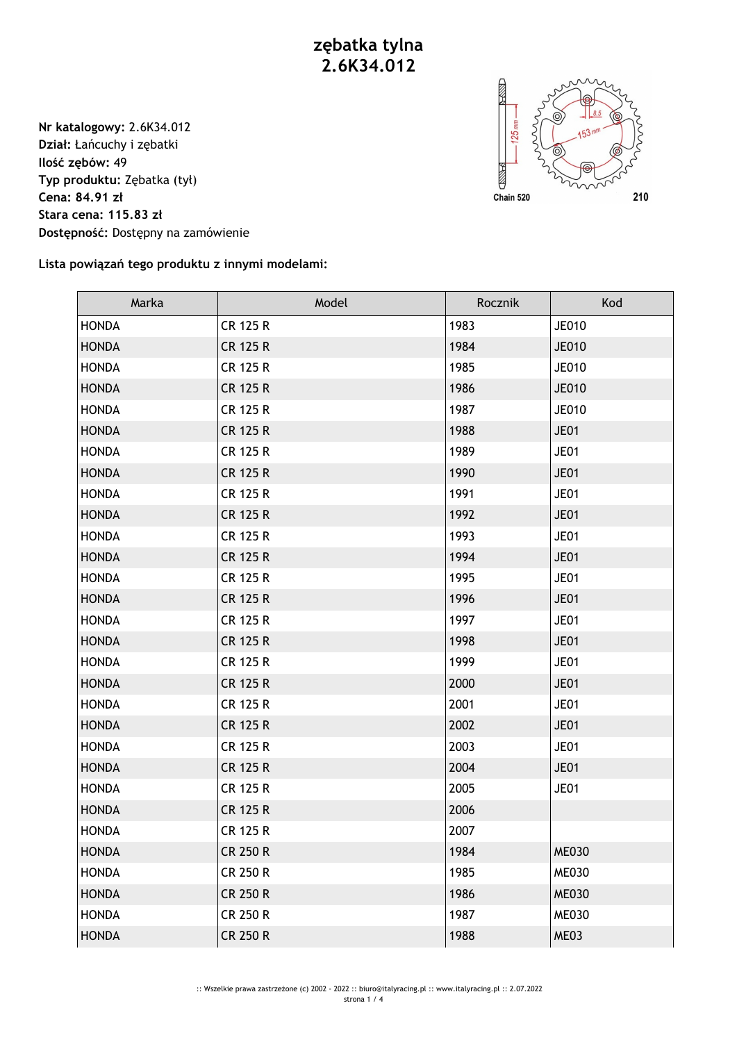**zębatka tylna 2.6K34.012**

**Nr katalogowy:** 2.6K34.012 **Dział:** Łańcuchy i zębatki **Ilość zębów:** 49 **Typ produktu:** Zębatka (tył) **Cena: 84.91 zł Stara cena: 115.83 zł Dostępność:** Dostępny na zamówienie



**Lista powiązań tego produktu z innymi modelami:**

| Marka        | Model           | Rocznik | Kod          |
|--------------|-----------------|---------|--------------|
| <b>HONDA</b> | <b>CR 125 R</b> | 1983    | <b>JE010</b> |
| <b>HONDA</b> | <b>CR 125 R</b> | 1984    | <b>JE010</b> |
| <b>HONDA</b> | <b>CR 125 R</b> | 1985    | JE010        |
| <b>HONDA</b> | <b>CR 125 R</b> | 1986    | <b>JE010</b> |
| <b>HONDA</b> | <b>CR 125 R</b> | 1987    | JE010        |
| <b>HONDA</b> | <b>CR 125 R</b> | 1988    | JE01         |
| <b>HONDA</b> | <b>CR 125 R</b> | 1989    | <b>JE01</b>  |
| <b>HONDA</b> | <b>CR 125 R</b> | 1990    | JE01         |
| <b>HONDA</b> | <b>CR 125 R</b> | 1991    | <b>JE01</b>  |
| <b>HONDA</b> | <b>CR 125 R</b> | 1992    | <b>JE01</b>  |
| <b>HONDA</b> | <b>CR 125 R</b> | 1993    | JE01         |
| <b>HONDA</b> | <b>CR 125 R</b> | 1994    | JE01         |
| <b>HONDA</b> | CR 125 R        | 1995    | JE01         |
| <b>HONDA</b> | <b>CR 125 R</b> | 1996    | JE01         |
| <b>HONDA</b> | <b>CR 125 R</b> | 1997    | <b>JE01</b>  |
| <b>HONDA</b> | <b>CR 125 R</b> | 1998    | <b>JE01</b>  |
| <b>HONDA</b> | <b>CR 125 R</b> | 1999    | JE01         |
| <b>HONDA</b> | <b>CR 125 R</b> | 2000    | JE01         |
| <b>HONDA</b> | <b>CR 125 R</b> | 2001    | <b>JE01</b>  |
| <b>HONDA</b> | <b>CR 125 R</b> | 2002    | JE01         |
| <b>HONDA</b> | <b>CR 125 R</b> | 2003    | <b>JE01</b>  |
| <b>HONDA</b> | <b>CR 125 R</b> | 2004    | <b>JE01</b>  |
| <b>HONDA</b> | <b>CR 125 R</b> | 2005    | JE01         |
| <b>HONDA</b> | <b>CR 125 R</b> | 2006    |              |
| <b>HONDA</b> | <b>CR 125 R</b> | 2007    |              |
| <b>HONDA</b> | <b>CR 250 R</b> | 1984    | <b>ME030</b> |
| <b>HONDA</b> | <b>CR 250 R</b> | 1985    | <b>ME030</b> |
| <b>HONDA</b> | <b>CR 250 R</b> | 1986    | <b>ME030</b> |
| <b>HONDA</b> | <b>CR 250 R</b> | 1987    | <b>ME030</b> |
| <b>HONDA</b> | <b>CR 250 R</b> | 1988    | ME03         |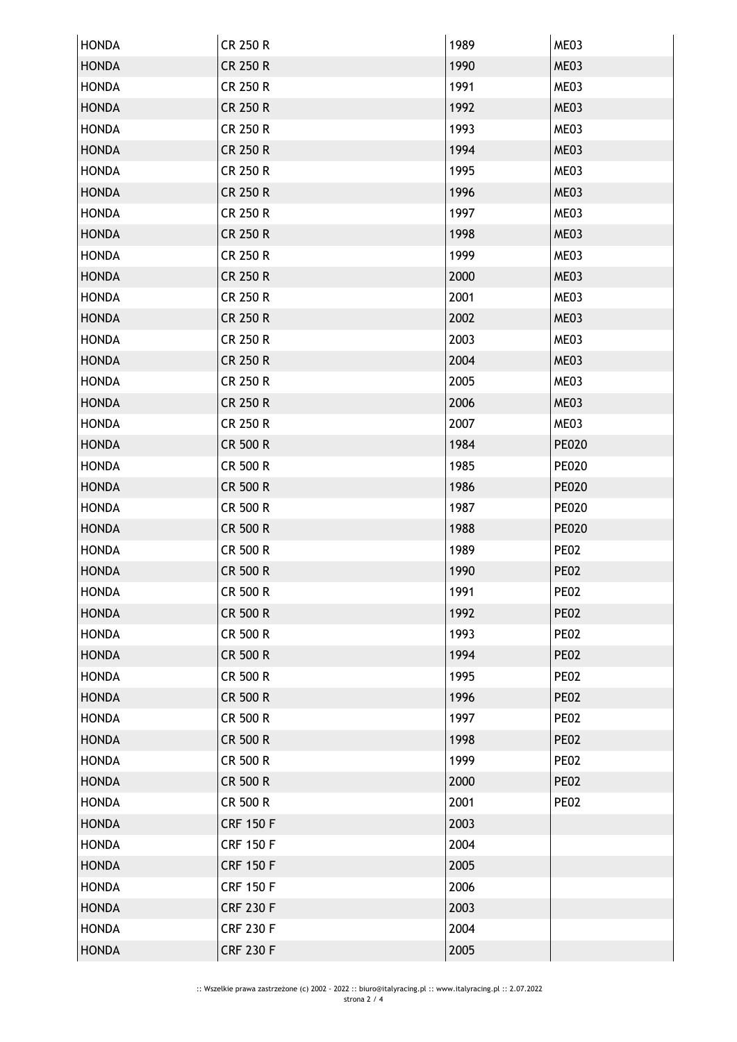| <b>HONDA</b> | <b>CR 250 R</b>  | 1989 | ME03         |
|--------------|------------------|------|--------------|
| <b>HONDA</b> | <b>CR 250 R</b>  | 1990 | ME03         |
| <b>HONDA</b> | CR 250 R         | 1991 | ME03         |
| <b>HONDA</b> | <b>CR 250 R</b>  | 1992 | ME03         |
| <b>HONDA</b> | CR 250 R         | 1993 | ME03         |
| <b>HONDA</b> | <b>CR 250 R</b>  | 1994 | ME03         |
| <b>HONDA</b> | <b>CR 250 R</b>  | 1995 | ME03         |
| <b>HONDA</b> | <b>CR 250 R</b>  | 1996 | ME03         |
| <b>HONDA</b> | <b>CR 250 R</b>  | 1997 | ME03         |
| <b>HONDA</b> | <b>CR 250 R</b>  | 1998 | ME03         |
| <b>HONDA</b> | CR 250 R         | 1999 | ME03         |
| <b>HONDA</b> | <b>CR 250 R</b>  | 2000 | ME03         |
| <b>HONDA</b> | CR 250 R         | 2001 | ME03         |
| <b>HONDA</b> | <b>CR 250 R</b>  | 2002 | ME03         |
| <b>HONDA</b> | CR 250 R         | 2003 | ME03         |
| <b>HONDA</b> | <b>CR 250 R</b>  | 2004 | ME03         |
| <b>HONDA</b> | CR 250 R         | 2005 | ME03         |
| <b>HONDA</b> | <b>CR 250 R</b>  | 2006 | ME03         |
| <b>HONDA</b> | <b>CR 250 R</b>  | 2007 | ME03         |
| <b>HONDA</b> | CR 500 R         | 1984 | <b>PE020</b> |
| <b>HONDA</b> | CR 500 R         | 1985 | <b>PE020</b> |
| <b>HONDA</b> | CR 500 R         | 1986 | <b>PE020</b> |
| <b>HONDA</b> | CR 500 R         | 1987 | <b>PE020</b> |
| <b>HONDA</b> | CR 500 R         | 1988 | <b>PE020</b> |
| <b>HONDA</b> | <b>CR 500 R</b>  | 1989 | <b>PE02</b>  |
| <b>HONDA</b> | CR 500 R         | 1990 | <b>PE02</b>  |
| <b>HONDA</b> | CR 500 R         | 1991 | <b>PE02</b>  |
| <b>HONDA</b> | <b>CR 500 R</b>  | 1992 | <b>PE02</b>  |
| <b>HONDA</b> | CR 500 R         | 1993 | <b>PE02</b>  |
| <b>HONDA</b> | <b>CR 500 R</b>  | 1994 | <b>PE02</b>  |
| <b>HONDA</b> | CR 500 R         | 1995 | <b>PE02</b>  |
| <b>HONDA</b> | <b>CR 500 R</b>  | 1996 | <b>PE02</b>  |
| <b>HONDA</b> | CR 500 R         | 1997 | <b>PE02</b>  |
| <b>HONDA</b> | <b>CR 500 R</b>  | 1998 | <b>PE02</b>  |
| <b>HONDA</b> | CR 500 R         | 1999 | <b>PE02</b>  |
| <b>HONDA</b> | <b>CR 500 R</b>  | 2000 | <b>PE02</b>  |
| <b>HONDA</b> | CR 500 R         | 2001 | <b>PE02</b>  |
| <b>HONDA</b> | <b>CRF 150 F</b> | 2003 |              |
| <b>HONDA</b> | <b>CRF 150 F</b> | 2004 |              |
| <b>HONDA</b> | <b>CRF 150 F</b> | 2005 |              |
| <b>HONDA</b> | <b>CRF 150 F</b> | 2006 |              |
| <b>HONDA</b> | <b>CRF 230 F</b> | 2003 |              |
| <b>HONDA</b> | <b>CRF 230 F</b> | 2004 |              |
| <b>HONDA</b> | <b>CRF 230 F</b> | 2005 |              |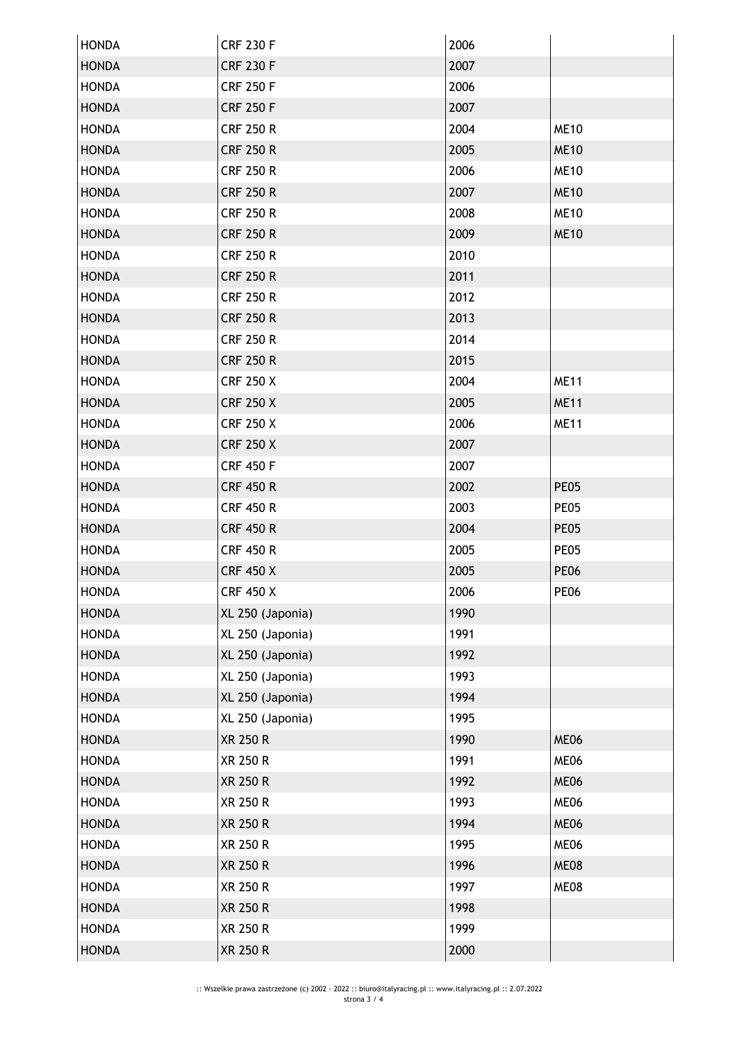| <b>HONDA</b> | <b>CRF 230 F</b> | 2006 |             |
|--------------|------------------|------|-------------|
| <b>HONDA</b> | <b>CRF 230 F</b> | 2007 |             |
| <b>HONDA</b> | <b>CRF 250 F</b> | 2006 |             |
| <b>HONDA</b> | <b>CRF 250 F</b> | 2007 |             |
| <b>HONDA</b> | <b>CRF 250 R</b> | 2004 | <b>ME10</b> |
| <b>HONDA</b> | <b>CRF 250 R</b> | 2005 | <b>ME10</b> |
| <b>HONDA</b> | <b>CRF 250 R</b> | 2006 | <b>ME10</b> |
| <b>HONDA</b> | <b>CRF 250 R</b> | 2007 | <b>ME10</b> |
| <b>HONDA</b> | <b>CRF 250 R</b> | 2008 | <b>ME10</b> |
| <b>HONDA</b> | <b>CRF 250 R</b> | 2009 | <b>ME10</b> |
| <b>HONDA</b> | <b>CRF 250 R</b> | 2010 |             |
| <b>HONDA</b> | <b>CRF 250 R</b> | 2011 |             |
| <b>HONDA</b> | <b>CRF 250 R</b> | 2012 |             |
| <b>HONDA</b> | <b>CRF 250 R</b> | 2013 |             |
| <b>HONDA</b> | <b>CRF 250 R</b> | 2014 |             |
| <b>HONDA</b> | <b>CRF 250 R</b> | 2015 |             |
| <b>HONDA</b> | <b>CRF 250 X</b> | 2004 | <b>ME11</b> |
| <b>HONDA</b> | <b>CRF 250 X</b> | 2005 | <b>ME11</b> |
| <b>HONDA</b> | <b>CRF 250 X</b> | 2006 | <b>ME11</b> |
| <b>HONDA</b> | <b>CRF 250 X</b> | 2007 |             |
| <b>HONDA</b> | <b>CRF 450 F</b> | 2007 |             |
| <b>HONDA</b> | <b>CRF 450 R</b> | 2002 | <b>PE05</b> |
| <b>HONDA</b> | <b>CRF 450 R</b> | 2003 | <b>PE05</b> |
| <b>HONDA</b> | <b>CRF 450 R</b> | 2004 | <b>PE05</b> |
| <b>HONDA</b> | <b>CRF 450 R</b> | 2005 | <b>PE05</b> |
| <b>HONDA</b> | <b>CRF 450 X</b> | 2005 | <b>PE06</b> |
| <b>HONDA</b> | <b>CRF 450 X</b> | 2006 | <b>PE06</b> |
| <b>HONDA</b> | XL 250 (Japonia) | 1990 |             |
| <b>HONDA</b> | XL 250 (Japonia) | 1991 |             |
| <b>HONDA</b> | XL 250 (Japonia) | 1992 |             |
| <b>HONDA</b> | XL 250 (Japonia) | 1993 |             |
| <b>HONDA</b> | XL 250 (Japonia) | 1994 |             |
| <b>HONDA</b> | XL 250 (Japonia) | 1995 |             |
| <b>HONDA</b> | <b>XR 250 R</b>  | 1990 | ME06        |
| <b>HONDA</b> | XR 250 R         | 1991 | ME06        |
| <b>HONDA</b> | <b>XR 250 R</b>  | 1992 | <b>ME06</b> |
| <b>HONDA</b> | XR 250 R         | 1993 | ME06        |
| <b>HONDA</b> | XR 250 R         | 1994 | ME06        |
| <b>HONDA</b> | <b>XR 250 R</b>  | 1995 | <b>ME06</b> |
| <b>HONDA</b> | XR 250 R         | 1996 | <b>ME08</b> |
| <b>HONDA</b> | XR 250 R         | 1997 | ME08        |
| <b>HONDA</b> | XR 250 R         | 1998 |             |
| <b>HONDA</b> | XR 250 R         | 1999 |             |
| <b>HONDA</b> | XR 250 R         | 2000 |             |
|              |                  |      |             |